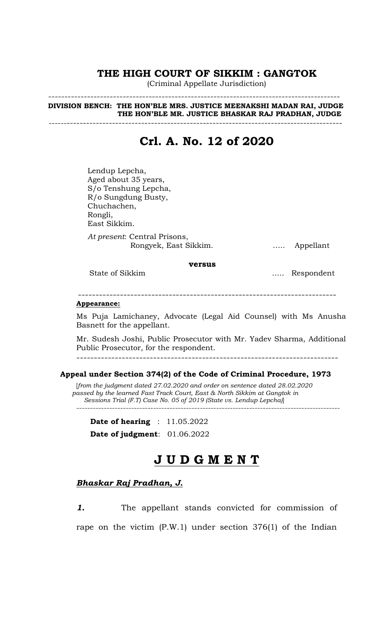### **THE HIGH COURT OF SIKKIM : GANGTOK**

(Criminal Appellate Jurisdiction)

------------------------------------------------------------------------------------------ **DIVISION BENCH: THE HON'BLE MRS. JUSTICE MEENAKSHI MADAN RAI, JUDGE THE HON'BLE MR. JUSTICE BHASKAR RAJ PRADHAN, JUDGE** 

-------------------------------------------------------------------------------------------

## **Crl. A. No. 12 of 2020**

Lendup Lepcha, Aged about 35 years, S/o Tenshung Lepcha, R/o Sungdung Busty, Chuchachen, Rongli, East Sikkim. *At present*: Central Prisons, Rongyek, East Sikkim. ….. Appellant **versus** State of Sikkim ….. Respondent

--------------------------------------------------------------------------

#### **Appearance:**

Ms Puja Lamichaney, Advocate (Legal Aid Counsel) with Ms Anusha Basnett for the appellant.

Mr. Sudesh Joshi, Public Prosecutor with Mr. Yadev Sharma, Additional Public Prosecutor, for the respondent.

---------------------------------------------------------------------------

#### **Appeal under Section 374(2) of the Code of Criminal Procedure, 1973**

 [*from the judgment dated 27.02.2020 and order on sentence dated 28.02.2020 passed by the learned Fast Track Court, East & North Sikkim at Gangtok in Sessions Trial (F.T) Case No. 05 of 2019 (State vs. Lendup Lepcha)*] ------------------------------------------------------------------------------------------------

**Date of hearing** : 11.05.2022 **Date of judgment**: 01.06.2022

## **J U D G M E N T**

#### *Bhaskar Raj Pradhan, J.*

*1.* The appellant stands convicted for commission of rape on the victim (P.W.1) under section 376(1) of the Indian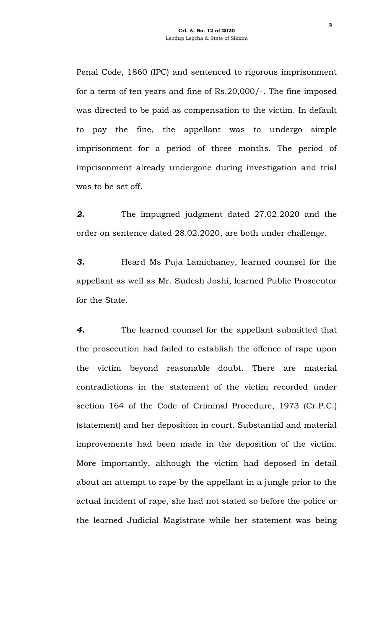Penal Code, 1860 (IPC) and sentenced to rigorous imprisonment for a term of ten years and fine of Rs.20,000/-. The fine imposed was directed to be paid as compensation to the victim. In default to pay the fine, the appellant was to undergo simple imprisonment for a period of three months. The period of imprisonment already undergone during investigation and trial was to be set off.

*2.* The impugned judgment dated 27.02.2020 and the order on sentence dated 28.02.2020, are both under challenge.

*3.* Heard Ms Puja Lamichaney, learned counsel for the appellant as well as Mr. Sudesh Joshi, learned Public Prosecutor for the State.

*4.* The learned counsel for the appellant submitted that the prosecution had failed to establish the offence of rape upon the victim beyond reasonable doubt. There are material contradictions in the statement of the victim recorded under section 164 of the Code of Criminal Procedure, 1973 (Cr.P.C.) (statement) and her deposition in court. Substantial and material improvements had been made in the deposition of the victim. More importantly, although the victim had deposed in detail about an attempt to rape by the appellant in a jungle prior to the actual incident of rape, she had not stated so before the police or the learned Judicial Magistrate while her statement was being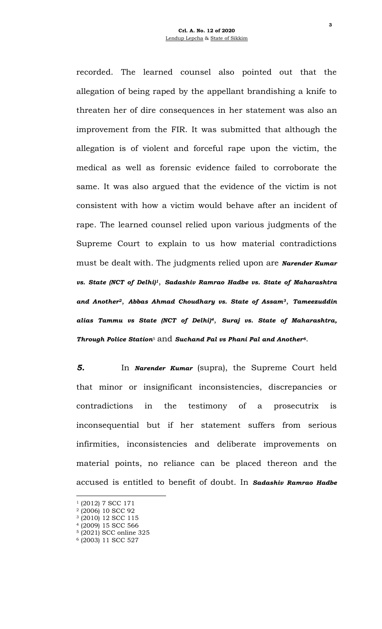recorded. The learned counsel also pointed out that the allegation of being raped by the appellant brandishing a knife to threaten her of dire consequences in her statement was also an improvement from the FIR. It was submitted that although the allegation is of violent and forceful rape upon the victim, the medical as well as forensic evidence failed to corroborate the same. It was also argued that the evidence of the victim is not consistent with how a victim would behave after an incident of rape. The learned counsel relied upon various judgments of the Supreme Court to explain to us how material contradictions must be dealt with. The judgments relied upon are *Narender Kumar vs. State (NCT of Delhi)1*, *Sadashiv Ramrao Hadbe vs. State of Maharashtra and Another2*, *Abbas Ahmad Choudhary vs. State of Assam3*, *Tameezuddin alias Tammu vs State (NCT of Delhi) <sup>4</sup>*, *Suraj vs. State of Maharashtra, Through Police Station*<sup>5</sup> and *Suchand Pal vs Phani Pal and Another6*.

*5.* In *Narender Kumar* (supra), the Supreme Court held that minor or insignificant inconsistencies, discrepancies or contradictions in the testimony of a prosecutrix is inconsequential but if her statement suffers from serious infirmities, inconsistencies and deliberate improvements on material points, no reliance can be placed thereon and the accused is entitled to benefit of doubt. In *Sadashiv Ramrao Hadbe*

 $\overline{a}$ 

<sup>1</sup> (2012) 7 SCC 171

<sup>2</sup> (2006) 10 SCC 92

<sup>3</sup> (2010) 12 SCC 115

<sup>4</sup> (2009) 15 SCC 566

<sup>5</sup> (2021) SCC online 325

<sup>6</sup> (2003) 11 SCC 527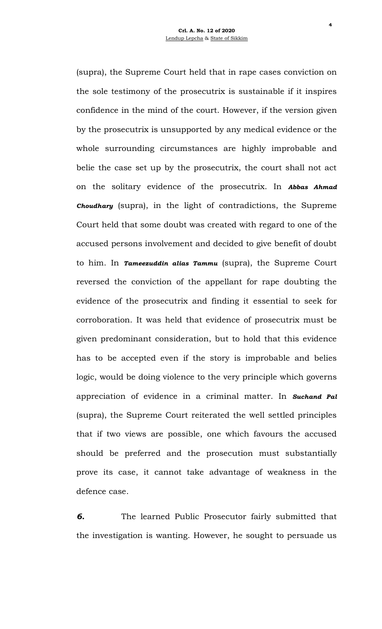(supra), the Supreme Court held that in rape cases conviction on the sole testimony of the prosecutrix is sustainable if it inspires confidence in the mind of the court. However, if the version given by the prosecutrix is unsupported by any medical evidence or the whole surrounding circumstances are highly improbable and belie the case set up by the prosecutrix, the court shall not act on the solitary evidence of the prosecutrix. In *Abbas Ahmad Choudhary* (supra), in the light of contradictions, the Supreme Court held that some doubt was created with regard to one of the accused persons involvement and decided to give benefit of doubt to him. In *Tameezuddin alias Tammu* (supra), the Supreme Court reversed the conviction of the appellant for rape doubting the evidence of the prosecutrix and finding it essential to seek for corroboration. It was held that evidence of prosecutrix must be given predominant consideration, but to hold that this evidence has to be accepted even if the story is improbable and belies logic, would be doing violence to the very principle which governs appreciation of evidence in a criminal matter. In *Suchand Pal* (supra), the Supreme Court reiterated the well settled principles that if two views are possible, one which favours the accused should be preferred and the prosecution must substantially prove its case, it cannot take advantage of weakness in the defence case.

*6.* The learned Public Prosecutor fairly submitted that the investigation is wanting. However, he sought to persuade us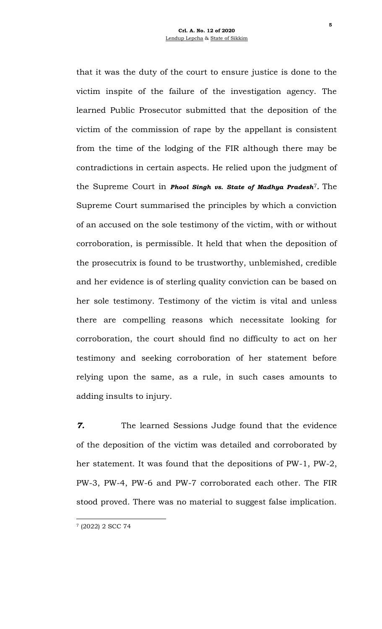that it was the duty of the court to ensure justice is done to the victim inspite of the failure of the investigation agency. The learned Public Prosecutor submitted that the deposition of the victim of the commission of rape by the appellant is consistent from the time of the lodging of the FIR although there may be contradictions in certain aspects. He relied upon the judgment of the Supreme Court in *Phool Singh vs. State of Madhya Pradesh*7*.* The Supreme Court summarised the principles by which a conviction of an accused on the sole testimony of the victim, with or without corroboration, is permissible. It held that when the deposition of the prosecutrix is found to be trustworthy, unblemished, credible and her evidence is of sterling quality conviction can be based on her sole testimony. Testimony of the victim is vital and unless there are compelling reasons which necessitate looking for corroboration, the court should find no difficulty to act on her testimony and seeking corroboration of her statement before relying upon the same, as a rule, in such cases amounts to adding insults to injury.

*7.* The learned Sessions Judge found that the evidence of the deposition of the victim was detailed and corroborated by her statement. It was found that the depositions of PW-1, PW-2, PW-3, PW-4, PW-6 and PW-7 corroborated each other. The FIR stood proved. There was no material to suggest false implication.

 $\overline{a}$ 

<sup>7</sup> (2022) 2 SCC 74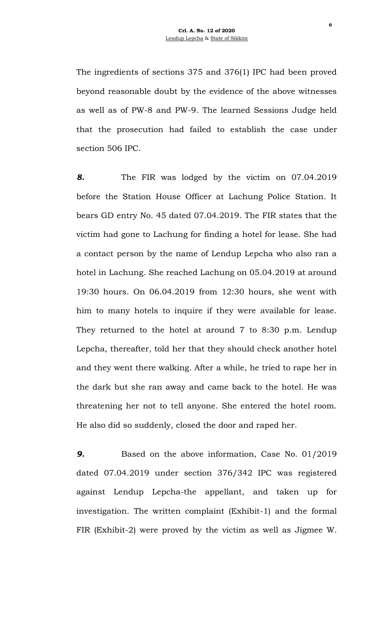The ingredients of sections 375 and 376(1) IPC had been proved beyond reasonable doubt by the evidence of the above witnesses as well as of PW-8 and PW-9. The learned Sessions Judge held that the prosecution had failed to establish the case under section 506 IPC.

*8.* The FIR was lodged by the victim on 07.04.2019 before the Station House Officer at Lachung Police Station. It bears GD entry No. 45 dated 07.04.2019. The FIR states that the victim had gone to Lachung for finding a hotel for lease. She had a contact person by the name of Lendup Lepcha who also ran a hotel in Lachung. She reached Lachung on 05.04.2019 at around 19:30 hours. On 06.04.2019 from 12:30 hours, she went with him to many hotels to inquire if they were available for lease. They returned to the hotel at around 7 to 8:30 p.m. Lendup Lepcha, thereafter, told her that they should check another hotel and they went there walking. After a while, he tried to rape her in the dark but she ran away and came back to the hotel. He was threatening her not to tell anyone. She entered the hotel room. He also did so suddenly, closed the door and raped her.

*9.* Based on the above information, Case No. 01/2019 dated 07.04.2019 under section 376/342 IPC was registered against Lendup Lepcha-the appellant, and taken up for investigation. The written complaint (Exhibit-1) and the formal FIR (Exhibit-2) were proved by the victim as well as Jigmee W.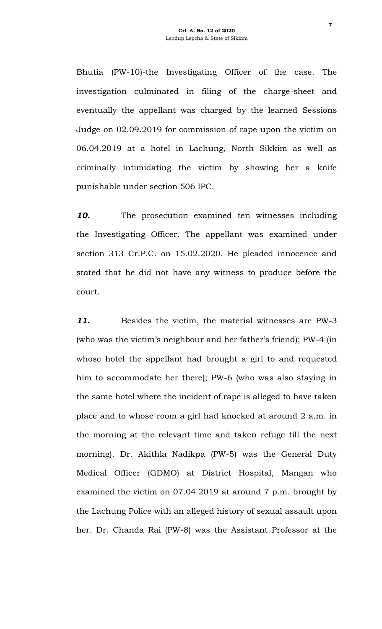Bhutia (PW-10)-the Investigating Officer of the case. The investigation culminated in filing of the charge-sheet and eventually the appellant was charged by the learned Sessions Judge on 02.09.2019 for commission of rape upon the victim on 06.04.2019 at a hotel in Lachung, North Sikkim as well as criminally intimidating the victim by showing her a knife punishable under section 506 IPC.

*10.* The prosecution examined ten witnesses including the Investigating Officer. The appellant was examined under section 313 Cr.P.C. on 15.02.2020. He pleaded innocence and stated that he did not have any witness to produce before the court.

*11.* Besides the victim, the material witnesses are PW-3 (who was the victim"s neighbour and her father"s friend); PW-4 (in whose hotel the appellant had brought a girl to and requested him to accommodate her there); PW-6 (who was also staying in the same hotel where the incident of rape is alleged to have taken place and to whose room a girl had knocked at around 2 a.m. in the morning at the relevant time and taken refuge till the next morning). Dr. Akithla Nadikpa (PW-5) was the General Duty Medical Officer (GDMO) at District Hospital, Mangan who examined the victim on 07.04.2019 at around 7 p.m. brought by the Lachung Police with an alleged history of sexual assault upon her. Dr. Chanda Rai (PW-8) was the Assistant Professor at the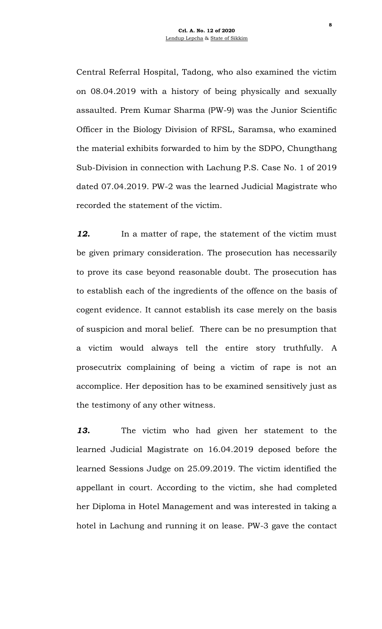Central Referral Hospital, Tadong, who also examined the victim on 08.04.2019 with a history of being physically and sexually assaulted. Prem Kumar Sharma (PW-9) was the Junior Scientific Officer in the Biology Division of RFSL, Saramsa, who examined the material exhibits forwarded to him by the SDPO, Chungthang Sub-Division in connection with Lachung P.S. Case No. 1 of 2019 dated 07.04.2019. PW-2 was the learned Judicial Magistrate who recorded the statement of the victim.

*12.* In a matter of rape, the statement of the victim must be given primary consideration. The prosecution has necessarily to prove its case beyond reasonable doubt. The prosecution has to establish each of the ingredients of the offence on the basis of cogent evidence. It cannot establish its case merely on the basis of suspicion and moral belief. There can be no presumption that a victim would always tell the entire story truthfully. A prosecutrix complaining of being a victim of rape is not an accomplice. Her deposition has to be examined sensitively just as the testimony of any other witness.

*13.* The victim who had given her statement to the learned Judicial Magistrate on 16.04.2019 deposed before the learned Sessions Judge on 25.09.2019. The victim identified the appellant in court. According to the victim, she had completed her Diploma in Hotel Management and was interested in taking a hotel in Lachung and running it on lease. PW-3 gave the contact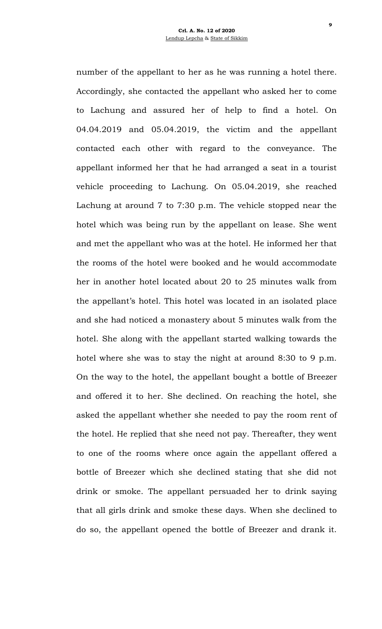number of the appellant to her as he was running a hotel there. Accordingly, she contacted the appellant who asked her to come to Lachung and assured her of help to find a hotel. On 04.04.2019 and 05.04.2019, the victim and the appellant contacted each other with regard to the conveyance. The appellant informed her that he had arranged a seat in a tourist vehicle proceeding to Lachung. On 05.04.2019, she reached Lachung at around 7 to 7:30 p.m. The vehicle stopped near the hotel which was being run by the appellant on lease. She went and met the appellant who was at the hotel. He informed her that the rooms of the hotel were booked and he would accommodate her in another hotel located about 20 to 25 minutes walk from the appellant"s hotel. This hotel was located in an isolated place and she had noticed a monastery about 5 minutes walk from the hotel. She along with the appellant started walking towards the hotel where she was to stay the night at around 8:30 to 9 p.m. On the way to the hotel, the appellant bought a bottle of Breezer and offered it to her. She declined. On reaching the hotel, she asked the appellant whether she needed to pay the room rent of the hotel. He replied that she need not pay. Thereafter, they went to one of the rooms where once again the appellant offered a bottle of Breezer which she declined stating that she did not drink or smoke. The appellant persuaded her to drink saying that all girls drink and smoke these days. When she declined to do so, the appellant opened the bottle of Breezer and drank it.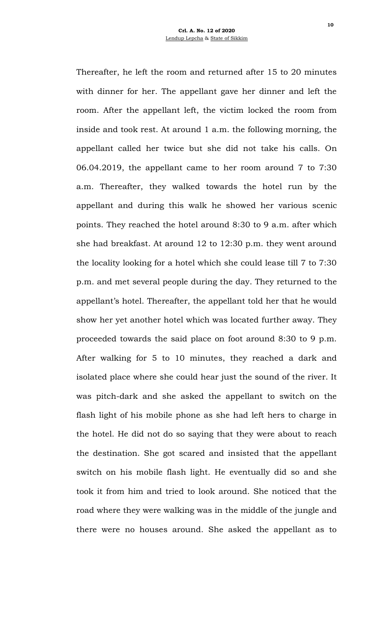Thereafter, he left the room and returned after 15 to 20 minutes with dinner for her. The appellant gave her dinner and left the room. After the appellant left, the victim locked the room from inside and took rest. At around 1 a.m. the following morning, the appellant called her twice but she did not take his calls. On 06.04.2019, the appellant came to her room around 7 to 7:30 a.m. Thereafter, they walked towards the hotel run by the appellant and during this walk he showed her various scenic points. They reached the hotel around 8:30 to 9 a.m. after which she had breakfast. At around 12 to 12:30 p.m. they went around the locality looking for a hotel which she could lease till 7 to 7:30 p.m. and met several people during the day. They returned to the appellant"s hotel. Thereafter, the appellant told her that he would show her yet another hotel which was located further away. They proceeded towards the said place on foot around 8:30 to 9 p.m. After walking for 5 to 10 minutes, they reached a dark and isolated place where she could hear just the sound of the river. It was pitch-dark and she asked the appellant to switch on the flash light of his mobile phone as she had left hers to charge in the hotel. He did not do so saying that they were about to reach the destination. She got scared and insisted that the appellant switch on his mobile flash light. He eventually did so and she took it from him and tried to look around. She noticed that the road where they were walking was in the middle of the jungle and there were no houses around. She asked the appellant as to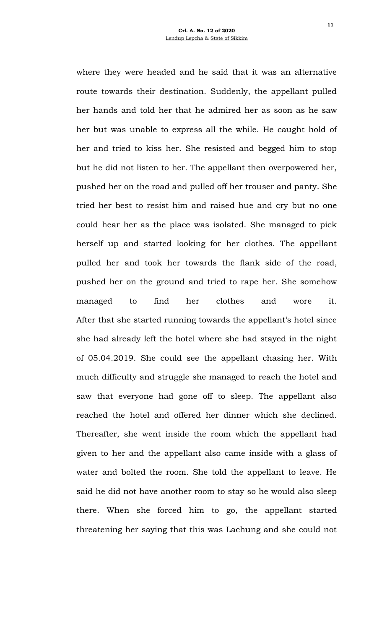where they were headed and he said that it was an alternative route towards their destination. Suddenly, the appellant pulled her hands and told her that he admired her as soon as he saw her but was unable to express all the while. He caught hold of her and tried to kiss her. She resisted and begged him to stop but he did not listen to her. The appellant then overpowered her, pushed her on the road and pulled off her trouser and panty. She tried her best to resist him and raised hue and cry but no one could hear her as the place was isolated. She managed to pick herself up and started looking for her clothes. The appellant pulled her and took her towards the flank side of the road, pushed her on the ground and tried to rape her. She somehow managed to find her clothes and wore it. After that she started running towards the appellant's hotel since she had already left the hotel where she had stayed in the night of 05.04.2019. She could see the appellant chasing her. With much difficulty and struggle she managed to reach the hotel and saw that everyone had gone off to sleep. The appellant also reached the hotel and offered her dinner which she declined. Thereafter, she went inside the room which the appellant had given to her and the appellant also came inside with a glass of water and bolted the room. She told the appellant to leave. He said he did not have another room to stay so he would also sleep there. When she forced him to go, the appellant started threatening her saying that this was Lachung and she could not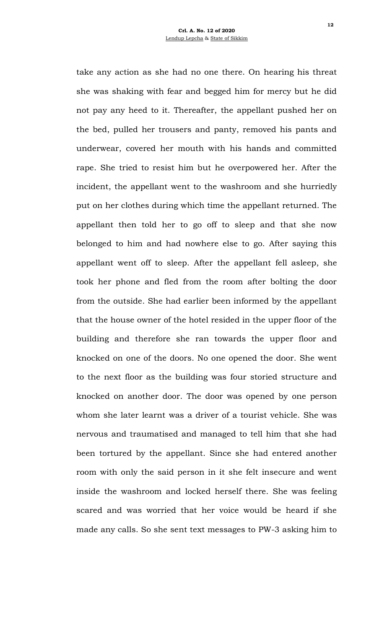take any action as she had no one there. On hearing his threat she was shaking with fear and begged him for mercy but he did not pay any heed to it. Thereafter, the appellant pushed her on the bed, pulled her trousers and panty, removed his pants and underwear, covered her mouth with his hands and committed rape. She tried to resist him but he overpowered her. After the incident, the appellant went to the washroom and she hurriedly put on her clothes during which time the appellant returned. The appellant then told her to go off to sleep and that she now belonged to him and had nowhere else to go. After saying this appellant went off to sleep. After the appellant fell asleep, she took her phone and fled from the room after bolting the door from the outside. She had earlier been informed by the appellant that the house owner of the hotel resided in the upper floor of the building and therefore she ran towards the upper floor and knocked on one of the doors. No one opened the door. She went to the next floor as the building was four storied structure and knocked on another door. The door was opened by one person whom she later learnt was a driver of a tourist vehicle. She was nervous and traumatised and managed to tell him that she had been tortured by the appellant. Since she had entered another room with only the said person in it she felt insecure and went inside the washroom and locked herself there. She was feeling scared and was worried that her voice would be heard if she made any calls. So she sent text messages to PW-3 asking him to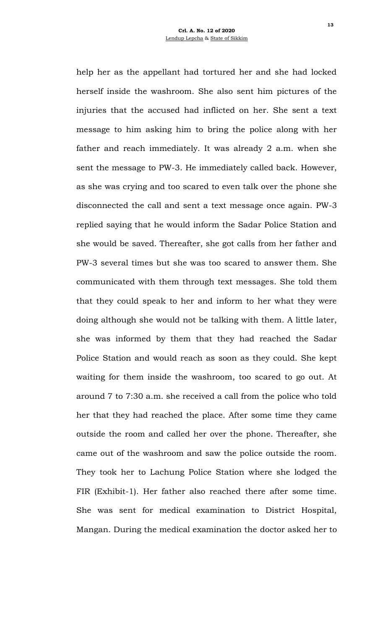help her as the appellant had tortured her and she had locked herself inside the washroom. She also sent him pictures of the injuries that the accused had inflicted on her. She sent a text message to him asking him to bring the police along with her father and reach immediately. It was already 2 a.m. when she sent the message to PW-3. He immediately called back. However, as she was crying and too scared to even talk over the phone she disconnected the call and sent a text message once again. PW-3 replied saying that he would inform the Sadar Police Station and she would be saved. Thereafter, she got calls from her father and PW-3 several times but she was too scared to answer them. She communicated with them through text messages. She told them that they could speak to her and inform to her what they were doing although she would not be talking with them. A little later, she was informed by them that they had reached the Sadar Police Station and would reach as soon as they could. She kept waiting for them inside the washroom, too scared to go out. At around 7 to 7:30 a.m. she received a call from the police who told her that they had reached the place. After some time they came outside the room and called her over the phone. Thereafter, she came out of the washroom and saw the police outside the room. They took her to Lachung Police Station where she lodged the FIR (Exhibit-1). Her father also reached there after some time. She was sent for medical examination to District Hospital, Mangan. During the medical examination the doctor asked her to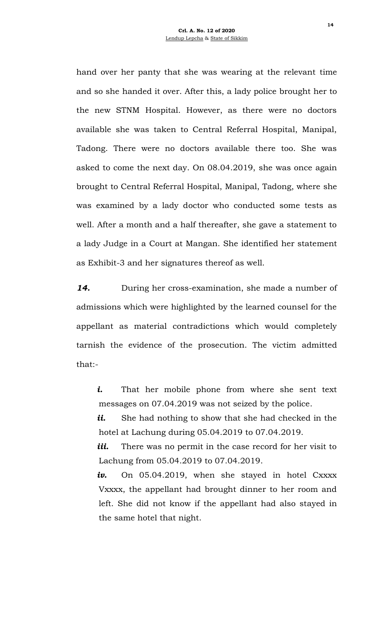hand over her panty that she was wearing at the relevant time and so she handed it over. After this, a lady police brought her to the new STNM Hospital. However, as there were no doctors available she was taken to Central Referral Hospital, Manipal, Tadong. There were no doctors available there too. She was asked to come the next day. On 08.04.2019, she was once again brought to Central Referral Hospital, Manipal, Tadong, where she was examined by a lady doctor who conducted some tests as well. After a month and a half thereafter, she gave a statement to a lady Judge in a Court at Mangan. She identified her statement as Exhibit-3 and her signatures thereof as well.

*14.* During her cross-examination, she made a number of admissions which were highlighted by the learned counsel for the appellant as material contradictions which would completely tarnish the evidence of the prosecution. The victim admitted that:-

*i.* That her mobile phone from where she sent text messages on 07.04.2019 was not seized by the police.

*ii.* She had nothing to show that she had checked in the hotel at Lachung during 05.04.2019 to 07.04.2019.

iii. There was no permit in the case record for her visit to Lachung from 05.04.2019 to 07.04.2019.

iv. On 05.04.2019, when she stayed in hotel Cxxxx Vxxxx, the appellant had brought dinner to her room and left. She did not know if the appellant had also stayed in the same hotel that night.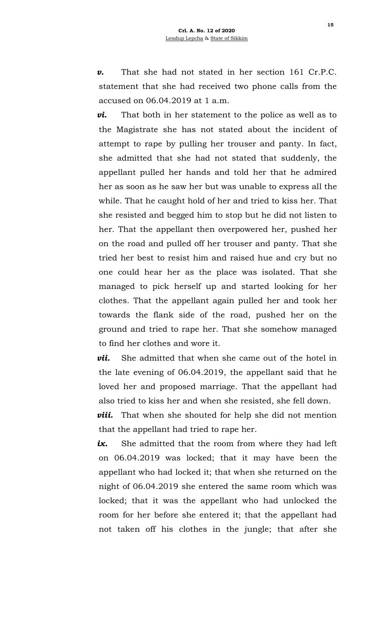*v.* That she had not stated in her section 161 Cr.P.C. statement that she had received two phone calls from the accused on 06.04.2019 at 1 a.m.

*vi.* That both in her statement to the police as well as to the Magistrate she has not stated about the incident of attempt to rape by pulling her trouser and panty. In fact, she admitted that she had not stated that suddenly, the appellant pulled her hands and told her that he admired her as soon as he saw her but was unable to express all the while. That he caught hold of her and tried to kiss her. That she resisted and begged him to stop but he did not listen to her. That the appellant then overpowered her, pushed her on the road and pulled off her trouser and panty. That she tried her best to resist him and raised hue and cry but no one could hear her as the place was isolated. That she managed to pick herself up and started looking for her clothes. That the appellant again pulled her and took her towards the flank side of the road, pushed her on the ground and tried to rape her. That she somehow managed to find her clothes and wore it.

*vii.* She admitted that when she came out of the hotel in the late evening of 06.04.2019, the appellant said that he loved her and proposed marriage. That the appellant had also tried to kiss her and when she resisted, she fell down.

*viii.* That when she shouted for help she did not mention that the appellant had tried to rape her.

*ix.* She admitted that the room from where they had left on 06.04.2019 was locked; that it may have been the appellant who had locked it; that when she returned on the night of 06.04.2019 she entered the same room which was locked; that it was the appellant who had unlocked the room for her before she entered it; that the appellant had not taken off his clothes in the jungle; that after she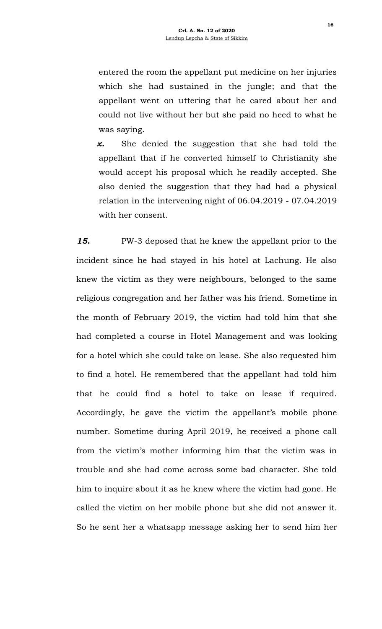entered the room the appellant put medicine on her injuries which she had sustained in the jungle; and that the appellant went on uttering that he cared about her and could not live without her but she paid no heed to what he was saying.

*x.* She denied the suggestion that she had told the appellant that if he converted himself to Christianity she would accept his proposal which he readily accepted. She also denied the suggestion that they had had a physical relation in the intervening night of 06.04.2019 - 07.04.2019 with her consent.

*15.* PW-3 deposed that he knew the appellant prior to the incident since he had stayed in his hotel at Lachung. He also knew the victim as they were neighbours, belonged to the same religious congregation and her father was his friend. Sometime in the month of February 2019, the victim had told him that she had completed a course in Hotel Management and was looking for a hotel which she could take on lease. She also requested him to find a hotel. He remembered that the appellant had told him that he could find a hotel to take on lease if required. Accordingly, he gave the victim the appellant's mobile phone number. Sometime during April 2019, he received a phone call from the victim"s mother informing him that the victim was in trouble and she had come across some bad character. She told him to inquire about it as he knew where the victim had gone. He called the victim on her mobile phone but she did not answer it. So he sent her a whatsapp message asking her to send him her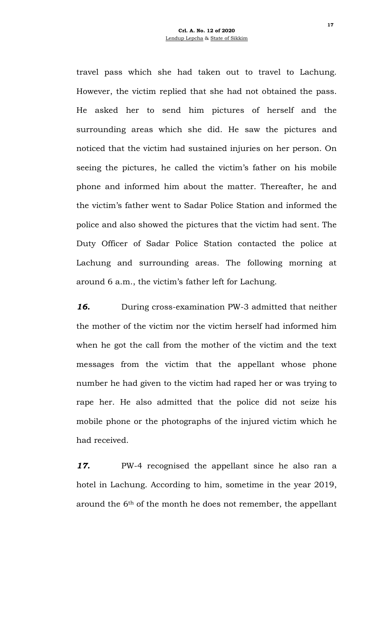travel pass which she had taken out to travel to Lachung. However, the victim replied that she had not obtained the pass. He asked her to send him pictures of herself and the surrounding areas which she did. He saw the pictures and noticed that the victim had sustained injuries on her person. On seeing the pictures, he called the victim's father on his mobile phone and informed him about the matter. Thereafter, he and the victim"s father went to Sadar Police Station and informed the police and also showed the pictures that the victim had sent. The Duty Officer of Sadar Police Station contacted the police at Lachung and surrounding areas. The following morning at around 6 a.m., the victim"s father left for Lachung.

*16.* During cross-examination PW-3 admitted that neither the mother of the victim nor the victim herself had informed him when he got the call from the mother of the victim and the text messages from the victim that the appellant whose phone number he had given to the victim had raped her or was trying to rape her. He also admitted that the police did not seize his mobile phone or the photographs of the injured victim which he had received.

*17.* PW-4 recognised the appellant since he also ran a hotel in Lachung. According to him, sometime in the year 2019, around the 6th of the month he does not remember, the appellant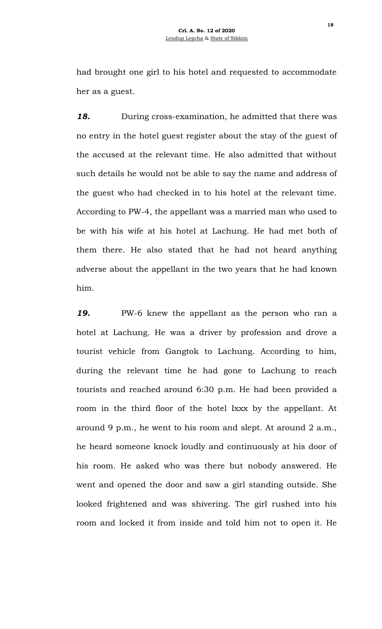had brought one girl to his hotel and requested to accommodate her as a guest.

*18.* During cross-examination, he admitted that there was no entry in the hotel guest register about the stay of the guest of the accused at the relevant time. He also admitted that without such details he would not be able to say the name and address of the guest who had checked in to his hotel at the relevant time. According to PW-4, the appellant was a married man who used to be with his wife at his hotel at Lachung. He had met both of them there. He also stated that he had not heard anything adverse about the appellant in the two years that he had known him.

*19.* PW-6 knew the appellant as the person who ran a hotel at Lachung. He was a driver by profession and drove a tourist vehicle from Gangtok to Lachung. According to him, during the relevant time he had gone to Lachung to reach tourists and reached around 6:30 p.m. He had been provided a room in the third floor of the hotel Ixxx by the appellant. At around 9 p.m., he went to his room and slept. At around 2 a.m., he heard someone knock loudly and continuously at his door of his room. He asked who was there but nobody answered. He went and opened the door and saw a girl standing outside. She looked frightened and was shivering. The girl rushed into his room and locked it from inside and told him not to open it. He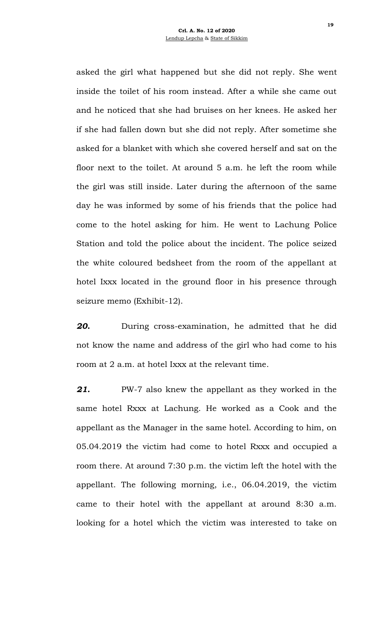asked the girl what happened but she did not reply. She went inside the toilet of his room instead. After a while she came out and he noticed that she had bruises on her knees. He asked her if she had fallen down but she did not reply. After sometime she asked for a blanket with which she covered herself and sat on the floor next to the toilet. At around 5 a.m. he left the room while the girl was still inside. Later during the afternoon of the same day he was informed by some of his friends that the police had come to the hotel asking for him. He went to Lachung Police Station and told the police about the incident. The police seized the white coloured bedsheet from the room of the appellant at hotel Ixxx located in the ground floor in his presence through seizure memo (Exhibit-12).

*20.* During cross-examination, he admitted that he did not know the name and address of the girl who had come to his room at 2 a.m. at hotel Ixxx at the relevant time.

*21.* PW-7 also knew the appellant as they worked in the same hotel Rxxx at Lachung. He worked as a Cook and the appellant as the Manager in the same hotel. According to him, on 05.04.2019 the victim had come to hotel Rxxx and occupied a room there. At around 7:30 p.m. the victim left the hotel with the appellant. The following morning, i.e., 06.04.2019, the victim came to their hotel with the appellant at around 8:30 a.m. looking for a hotel which the victim was interested to take on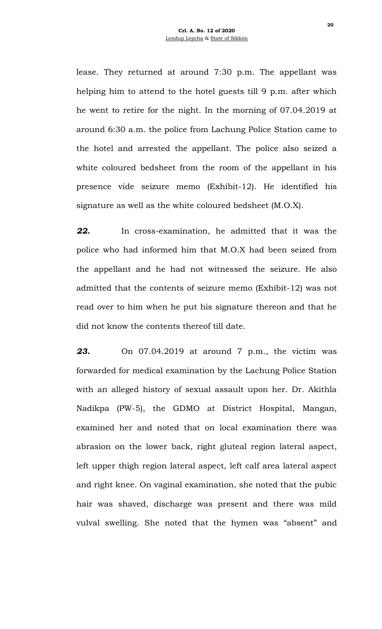lease. They returned at around 7:30 p.m. The appellant was helping him to attend to the hotel guests till 9 p.m. after which he went to retire for the night. In the morning of 07.04.2019 at around 6:30 a.m. the police from Lachung Police Station came to the hotel and arrested the appellant. The police also seized a white coloured bedsheet from the room of the appellant in his presence vide seizure memo (Exhibit-12). He identified his signature as well as the white coloured bedsheet (M.O.X).

*22.* In cross-examination, he admitted that it was the police who had informed him that M.O.X had been seized from the appellant and he had not witnessed the seizure. He also admitted that the contents of seizure memo (Exhibit-12) was not read over to him when he put his signature thereon and that he did not know the contents thereof till date.

**23.** On 07.04.2019 at around 7 p.m., the victim was forwarded for medical examination by the Lachung Police Station with an alleged history of sexual assault upon her. Dr. Akithla Nadikpa (PW-5), the GDMO at District Hospital, Mangan, examined her and noted that on local examination there was abrasion on the lower back, right gluteal region lateral aspect, left upper thigh region lateral aspect, left calf area lateral aspect and right knee. On vaginal examination, she noted that the pubic hair was shaved, discharge was present and there was mild vulval swelling. She noted that the hymen was "absent" and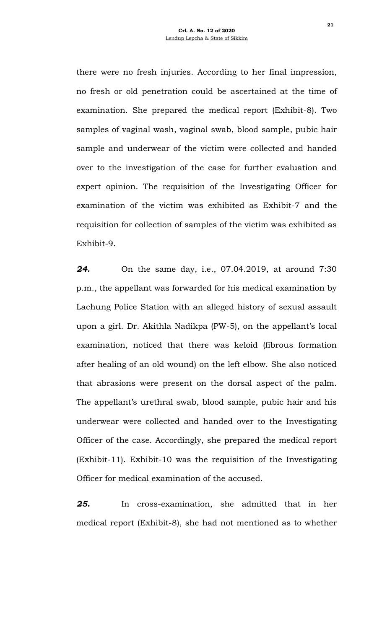there were no fresh injuries. According to her final impression, no fresh or old penetration could be ascertained at the time of examination. She prepared the medical report (Exhibit-8). Two samples of vaginal wash, vaginal swab, blood sample, pubic hair sample and underwear of the victim were collected and handed over to the investigation of the case for further evaluation and expert opinion. The requisition of the Investigating Officer for examination of the victim was exhibited as Exhibit-7 and the requisition for collection of samples of the victim was exhibited as Exhibit-9.

*24.* On the same day, i.e., 07.04.2019, at around 7:30 p.m., the appellant was forwarded for his medical examination by Lachung Police Station with an alleged history of sexual assault upon a girl. Dr. Akithla Nadikpa (PW-5), on the appellant"s local examination, noticed that there was keloid (fibrous formation after healing of an old wound) on the left elbow. She also noticed that abrasions were present on the dorsal aspect of the palm. The appellant's urethral swab, blood sample, pubic hair and his underwear were collected and handed over to the Investigating Officer of the case. Accordingly, she prepared the medical report (Exhibit-11). Exhibit-10 was the requisition of the Investigating Officer for medical examination of the accused.

*25.* In cross-examination, she admitted that in her medical report (Exhibit-8), she had not mentioned as to whether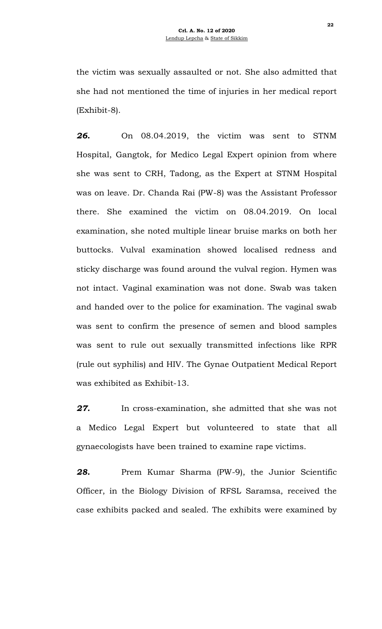the victim was sexually assaulted or not. She also admitted that she had not mentioned the time of injuries in her medical report (Exhibit-8).

*26.* On 08.04.2019, the victim was sent to STNM Hospital, Gangtok, for Medico Legal Expert opinion from where she was sent to CRH, Tadong, as the Expert at STNM Hospital was on leave. Dr. Chanda Rai (PW-8) was the Assistant Professor there. She examined the victim on 08.04.2019. On local examination, she noted multiple linear bruise marks on both her buttocks. Vulval examination showed localised redness and sticky discharge was found around the vulval region. Hymen was not intact. Vaginal examination was not done. Swab was taken and handed over to the police for examination. The vaginal swab was sent to confirm the presence of semen and blood samples was sent to rule out sexually transmitted infections like RPR (rule out syphilis) and HIV. The Gynae Outpatient Medical Report was exhibited as Exhibit-13.

*27.* In cross-examination, she admitted that she was not a Medico Legal Expert but volunteered to state that all gynaecologists have been trained to examine rape victims.

*28.* Prem Kumar Sharma (PW-9), the Junior Scientific Officer, in the Biology Division of RFSL Saramsa, received the case exhibits packed and sealed. The exhibits were examined by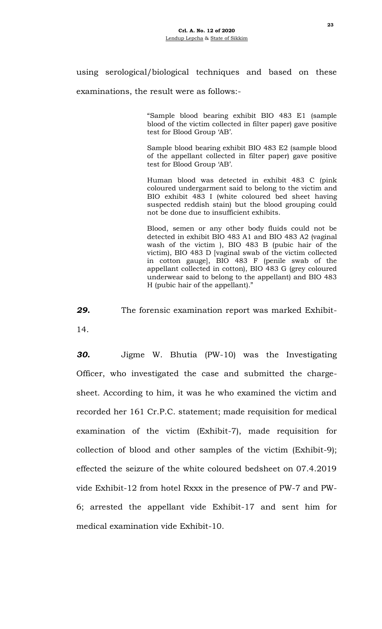using serological/biological techniques and based on these

examinations, the result were as follows:-

"Sample blood bearing exhibit BIO 483 E1 (sample blood of the victim collected in filter paper) gave positive test for Blood Group "AB".

Sample blood bearing exhibit BIO 483 E2 (sample blood of the appellant collected in filter paper) gave positive test for Blood Group "AB".

Human blood was detected in exhibit 483 C (pink coloured undergarment said to belong to the victim and BIO exhibit 483 I (white coloured bed sheet having suspected reddish stain) but the blood grouping could not be done due to insufficient exhibits.

Blood, semen or any other body fluids could not be detected in exhibit BIO 483 A1 and BIO 483 A2 (vaginal wash of the victim ), BIO 483 B (pubic hair of the victim), BIO 483 D [vaginal swab of the victim collected in cotton gauge], BIO 483 F (penile swab of the appellant collected in cotton), BIO 483 G (grey coloured underwear said to belong to the appellant) and BIO 483 H (pubic hair of the appellant)."

*29.* The forensic examination report was marked Exhibit-14.

*30.* Jigme W. Bhutia (PW-10) was the Investigating Officer, who investigated the case and submitted the chargesheet. According to him, it was he who examined the victim and recorded her 161 Cr.P.C. statement; made requisition for medical examination of the victim (Exhibit-7), made requisition for collection of blood and other samples of the victim (Exhibit-9); effected the seizure of the white coloured bedsheet on 07.4.2019 vide Exhibit-12 from hotel Rxxx in the presence of PW-7 and PW-6; arrested the appellant vide Exhibit-17 and sent him for medical examination vide Exhibit-10.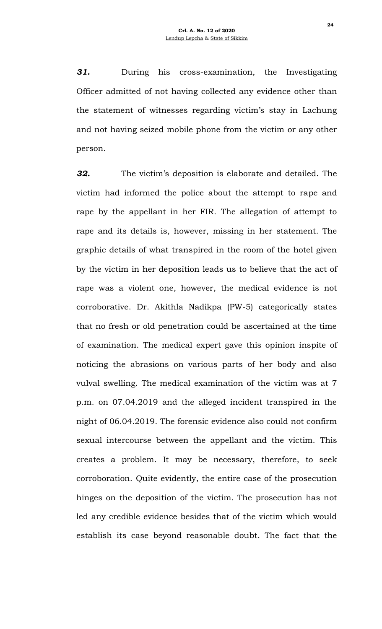*31.* During his cross-examination, the Investigating Officer admitted of not having collected any evidence other than the statement of witnesses regarding victim's stay in Lachung and not having seized mobile phone from the victim or any other person.

*32.* The victim"s deposition is elaborate and detailed. The victim had informed the police about the attempt to rape and rape by the appellant in her FIR. The allegation of attempt to rape and its details is, however, missing in her statement. The graphic details of what transpired in the room of the hotel given by the victim in her deposition leads us to believe that the act of rape was a violent one, however, the medical evidence is not corroborative. Dr. Akithla Nadikpa (PW-5) categorically states that no fresh or old penetration could be ascertained at the time of examination. The medical expert gave this opinion inspite of noticing the abrasions on various parts of her body and also vulval swelling. The medical examination of the victim was at 7 p.m. on 07.04.2019 and the alleged incident transpired in the night of 06.04.2019. The forensic evidence also could not confirm sexual intercourse between the appellant and the victim. This creates a problem. It may be necessary, therefore, to seek corroboration. Quite evidently, the entire case of the prosecution hinges on the deposition of the victim. The prosecution has not led any credible evidence besides that of the victim which would establish its case beyond reasonable doubt. The fact that the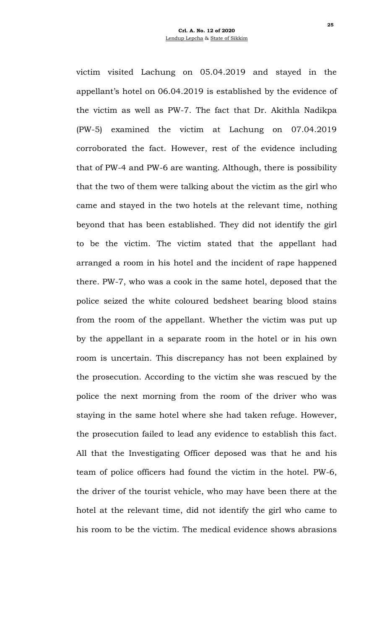victim visited Lachung on 05.04.2019 and stayed in the appellant"s hotel on 06.04.2019 is established by the evidence of the victim as well as PW-7. The fact that Dr. Akithla Nadikpa (PW-5) examined the victim at Lachung on 07.04.2019 corroborated the fact. However, rest of the evidence including that of PW-4 and PW-6 are wanting. Although, there is possibility that the two of them were talking about the victim as the girl who came and stayed in the two hotels at the relevant time, nothing beyond that has been established. They did not identify the girl to be the victim. The victim stated that the appellant had arranged a room in his hotel and the incident of rape happened there. PW-7, who was a cook in the same hotel, deposed that the police seized the white coloured bedsheet bearing blood stains from the room of the appellant. Whether the victim was put up by the appellant in a separate room in the hotel or in his own room is uncertain. This discrepancy has not been explained by the prosecution. According to the victim she was rescued by the police the next morning from the room of the driver who was staying in the same hotel where she had taken refuge. However, the prosecution failed to lead any evidence to establish this fact. All that the Investigating Officer deposed was that he and his team of police officers had found the victim in the hotel. PW-6, the driver of the tourist vehicle, who may have been there at the hotel at the relevant time, did not identify the girl who came to his room to be the victim. The medical evidence shows abrasions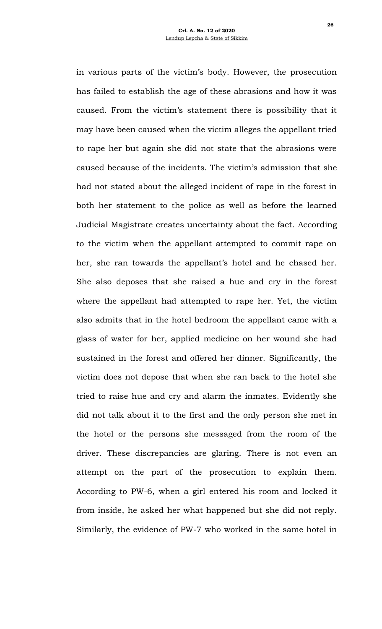in various parts of the victim"s body. However, the prosecution has failed to establish the age of these abrasions and how it was caused. From the victim"s statement there is possibility that it may have been caused when the victim alleges the appellant tried to rape her but again she did not state that the abrasions were caused because of the incidents. The victim"s admission that she had not stated about the alleged incident of rape in the forest in both her statement to the police as well as before the learned Judicial Magistrate creates uncertainty about the fact. According to the victim when the appellant attempted to commit rape on her, she ran towards the appellant's hotel and he chased her. She also deposes that she raised a hue and cry in the forest where the appellant had attempted to rape her. Yet, the victim also admits that in the hotel bedroom the appellant came with a glass of water for her, applied medicine on her wound she had sustained in the forest and offered her dinner. Significantly, the victim does not depose that when she ran back to the hotel she tried to raise hue and cry and alarm the inmates. Evidently she did not talk about it to the first and the only person she met in the hotel or the persons she messaged from the room of the driver. These discrepancies are glaring. There is not even an attempt on the part of the prosecution to explain them. According to PW-6, when a girl entered his room and locked it from inside, he asked her what happened but she did not reply. Similarly, the evidence of PW-7 who worked in the same hotel in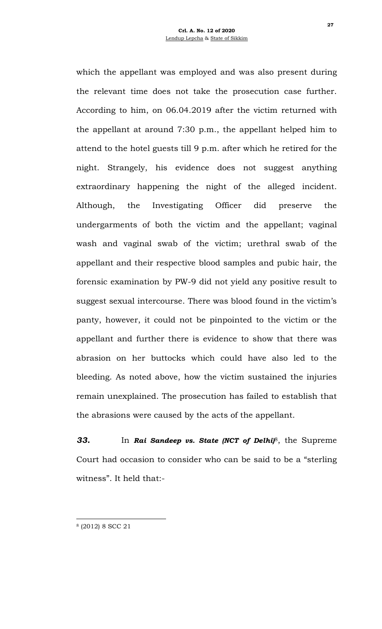which the appellant was employed and was also present during the relevant time does not take the prosecution case further. According to him, on 06.04.2019 after the victim returned with the appellant at around 7:30 p.m., the appellant helped him to attend to the hotel guests till 9 p.m. after which he retired for the night. Strangely, his evidence does not suggest anything extraordinary happening the night of the alleged incident. Although, the Investigating Officer did preserve the undergarments of both the victim and the appellant; vaginal wash and vaginal swab of the victim; urethral swab of the appellant and their respective blood samples and pubic hair, the forensic examination by PW-9 did not yield any positive result to suggest sexual intercourse. There was blood found in the victim's panty, however, it could not be pinpointed to the victim or the appellant and further there is evidence to show that there was abrasion on her buttocks which could have also led to the bleeding. As noted above, how the victim sustained the injuries remain unexplained. The prosecution has failed to establish that the abrasions were caused by the acts of the appellant.

*33.* In *Rai Sandeep vs. State (NCT of Delhi)*<sup>8</sup>, the Supreme Court had occasion to consider who can be said to be a "sterling witness". It held that:-

 $\overline{a}$ <sup>8</sup> (2012) 8 SCC 21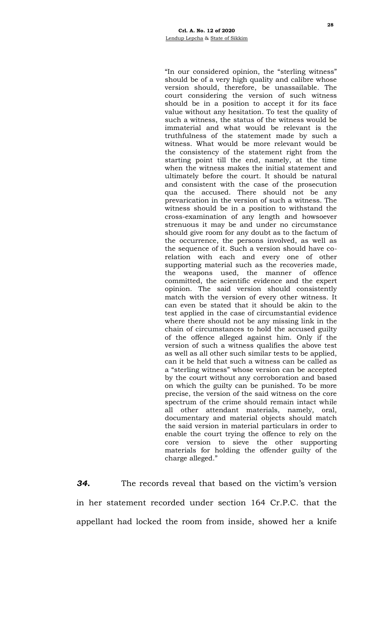"In our considered opinion, the "sterling witness" should be of a very high quality and calibre whose version should, therefore, be unassailable. The court considering the version of such witness should be in a position to accept it for its face value without any hesitation. To test the quality of such a witness, the status of the witness would be immaterial and what would be relevant is the truthfulness of the statement made by such a witness. What would be more relevant would be the consistency of the statement right from the starting point till the end, namely, at the time when the witness makes the initial statement and ultimately before the court. It should be natural and consistent with the case of the prosecution qua the accused. There should not be any prevarication in the version of such a witness. The witness should be in a position to withstand the cross-examination of any length and howsoever strenuous it may be and under no circumstance should give room for any doubt as to the factum of the occurrence, the persons involved, as well as the sequence of it. Such a version should have corelation with each and every one of other supporting material such as the recoveries made, the weapons used, the manner of offence committed, the scientific evidence and the expert opinion. The said version should consistently match with the version of every other witness. It can even be stated that it should be akin to the test applied in the case of circumstantial evidence where there should not be any missing link in the chain of circumstances to hold the accused guilty of the offence alleged against him. Only if the version of such a witness qualifies the above test as well as all other such similar tests to be applied, can it be held that such a witness can be called as a "sterling witness" whose version can be accepted by the court without any corroboration and based on which the guilty can be punished. To be more precise, the version of the said witness on the core spectrum of the crime should remain intact while all other attendant materials, namely, oral, documentary and material objects should match the said version in material particulars in order to enable the court trying the offence to rely on the core version to sieve the other supporting materials for holding the offender guilty of the charge alleged."

*34.* The records reveal that based on the victim"s version in her statement recorded under section 164 Cr.P.C. that the appellant had locked the room from inside, showed her a knife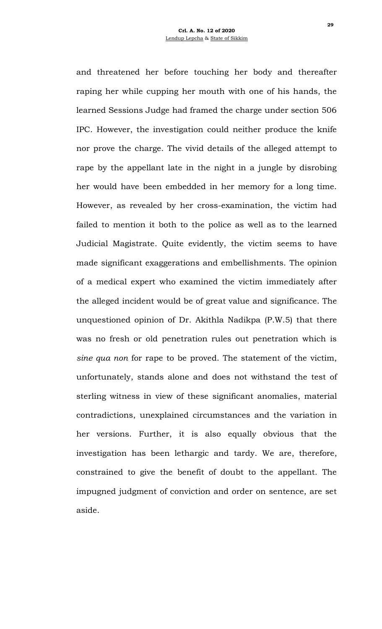and threatened her before touching her body and thereafter raping her while cupping her mouth with one of his hands, the learned Sessions Judge had framed the charge under section 506 IPC. However, the investigation could neither produce the knife nor prove the charge. The vivid details of the alleged attempt to rape by the appellant late in the night in a jungle by disrobing her would have been embedded in her memory for a long time. However, as revealed by her cross-examination, the victim had failed to mention it both to the police as well as to the learned Judicial Magistrate. Quite evidently, the victim seems to have made significant exaggerations and embellishments. The opinion of a medical expert who examined the victim immediately after the alleged incident would be of great value and significance. The unquestioned opinion of Dr. Akithla Nadikpa (P.W.5) that there was no fresh or old penetration rules out penetration which is *sine qua non* for rape to be proved. The statement of the victim, unfortunately, stands alone and does not withstand the test of sterling witness in view of these significant anomalies, material contradictions, unexplained circumstances and the variation in her versions. Further, it is also equally obvious that the investigation has been lethargic and tardy. We are, therefore, constrained to give the benefit of doubt to the appellant. The impugned judgment of conviction and order on sentence, are set aside.